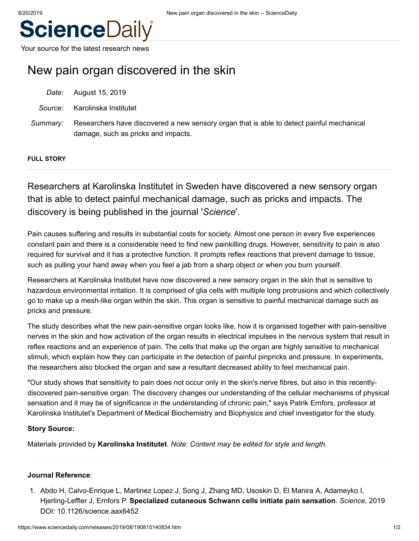

Your source for the latest research news

# New pain organ discovered in the skin

|          | Date: August 15, 2019                                                                                                            |
|----------|----------------------------------------------------------------------------------------------------------------------------------|
|          | <i>Source:</i> Karolinska Institutet                                                                                             |
| Summarv: | Researchers have discovered a new sensory organ that is able to detect painful mechanical<br>damage, such as pricks and impacts. |

### **FULL STORY**

Researchers at Karolinska Institutet in Sweden have discovered a new sensory organ that is able to detect painful mechanical damage, such as pricks and impacts. The discovery is being published in the journal '*Science*'.

Pain causes suffering and results in substantial costs for society. Almost one person in every five experiences constant pain and there is a considerable need to find new painkilling drugs. However, sensitivity to pain is also required for survival and it has a protective function. It prompts reflex reactions that prevent damage to tissue, such as pulling your hand away when you feel a jab from a sharp object or when you burn yourself.

Researchers at Karolinska Institutet have now discovered a new sensory organ in the skin that is sensitive to hazardous environmental irritation. It is comprised of glia cells with multiple long protrusions and which collectively go to make up a mesh-like organ within the skin. This organ is sensitive to painful mechanical damage such as pricks and pressure.

The study describes what the new pain-sensitive organ looks like, how it is organised together with pain-sensitive nerves in the skin and how activation of the organ results in electrical impulses in the nervous system that result in reflex reactions and an experience of pain. The cells that make up the organ are highly sensitive to mechanical stimuli, which explain how they can participate in the detection of painful pinpricks and pressure. In experiments, the researchers also blocked the organ and saw a resultant decreased ability to feel mechanical pain.

"Our study shows that sensitivity to pain does not occur only in the skin's nerve fibres, but also in this recentlydiscovered pain-sensitive organ. The discovery changes our understanding of the cellular mechanisms of physical sensation and it may be of significance in the understanding of chronic pain," says Patrik Ernfors, professor at Karolinska Institutet's Department of Medical Biochemistry and Biophysics and chief investigator for the study.

### **Story Source:**

Materials provided by **[Karolinska Institutet](https://ki.se/en)**. *Note: Content may be edited for style and length.*

### **Journal Reference**:

1. Abdo H, Calvo-Enrique L, Martinez Lopez J, Song J, Zhang MD, Usoskin D, El Manira A, Adameyko I, Hjerling-Leffler J, Ernfors P. **Specialized cutaneous Schwann cells initiate pain sensation**. *Science*, 2019 DOI: [10.1126/science.aax6452](http://dx.doi.org/10.1126/science.aax6452)